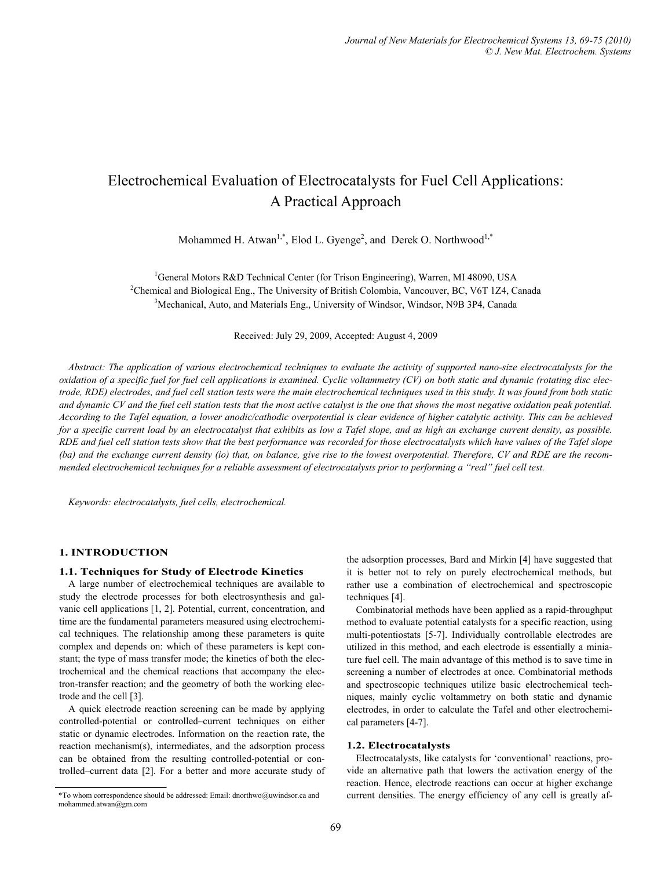# Electrochemical Evaluation of Electrocatalysts for Fuel Cell Applications: A Practical Approach

Mohammed H. Atwan<sup>1,\*</sup>, Elod L. Gyenge<sup>2</sup>, and Derek O. Northwood<sup>1,\*</sup>

<sup>1</sup>General Motors R&D Technical Center (for Trison Engineering), Warren, MI 48090, USA<br><sup>2</sup>Chamical and Biological Eng. The University of Pritish Colombia. Vancouver, BC, V6T 174, Ca <sup>2</sup>Chemical and Biological Eng., The University of British Colombia, Vancouver, BC, V6T 1Z4, Canada  $<sup>3</sup>$ Mechanical, Auto, and Materials Eng., University of Windsor, Windsor, N9B 3P4, Canada</sup>

Received: July 29, 2009, Accepted: August 4, 2009

*Abstract: The application of various electrochemical techniques to evaluate the activity of supported nano-size electrocatalysts for the oxidation of a specific fuel for fuel cell applications is examined. Cyclic voltammetry (CV) on both static and dynamic (rotating disc electrode, RDE) electrodes, and fuel cell station tests were the main electrochemical techniques used in this study. It was found from both static and dynamic CV and the fuel cell station tests that the most active catalyst is the one that shows the most negative oxidation peak potential. According to the Tafel equation, a lower anodic/cathodic overpotential is clear evidence of higher catalytic activity. This can be achieved for a specific current load by an electrocatalyst that exhibits as low a Tafel slope, and as high an exchange current density, as possible. RDE and fuel cell station tests show that the best performance was recorded for those electrocatalysts which have values of the Tafel slope (ba) and the exchange current density (io) that, on balance, give rise to the lowest overpotential. Therefore, CV and RDE are the recommended electrochemical techniques for a reliable assessment of electrocatalysts prior to performing a "real" fuel cell test.* 

*Keywords: electrocatalysts, fuel cells, electrochemical.* 

# **1. INTRODUCTION**

## **1.1. Techniques for Study of Electrode Kinetics**

A large number of electrochemical techniques are available to study the electrode processes for both electrosynthesis and galvanic cell applications [1, 2]. Potential, current, concentration, and time are the fundamental parameters measured using electrochemical techniques. The relationship among these parameters is quite complex and depends on: which of these parameters is kept constant; the type of mass transfer mode; the kinetics of both the electrochemical and the chemical reactions that accompany the electron-transfer reaction; and the geometry of both the working electrode and the cell [3].

A quick electrode reaction screening can be made by applying controlled-potential or controlled–current techniques on either static or dynamic electrodes. Information on the reaction rate, the reaction mechanism(s), intermediates, and the adsorption process can be obtained from the resulting controlled-potential or controlled–current data [2]. For a better and more accurate study of the adsorption processes, Bard and Mirkin [4] have suggested that it is better not to rely on purely electrochemical methods, but rather use a combination of electrochemical and spectroscopic techniques [4].

Combinatorial methods have been applied as a rapid-throughput method to evaluate potential catalysts for a specific reaction, using multi-potentiostats [5-7]. Individually controllable electrodes are utilized in this method, and each electrode is essentially a miniature fuel cell. The main advantage of this method is to save time in screening a number of electrodes at once. Combinatorial methods and spectroscopic techniques utilize basic electrochemical techniques, mainly cyclic voltammetry on both static and dynamic electrodes, in order to calculate the Tafel and other electrochemical parameters [4-7].

### **1.2. Electrocatalysts**

Electrocatalysts, like catalysts for 'conventional' reactions, provide an alternative path that lowers the activation energy of the reaction. Hence, electrode reactions can occur at higher exchange \*To whom correspondence should be addressed: Email: dnorthwo@uwindsor.ca and current densities. The energy efficiency of any cell is greatly af-

mohammed.atwan@gm.com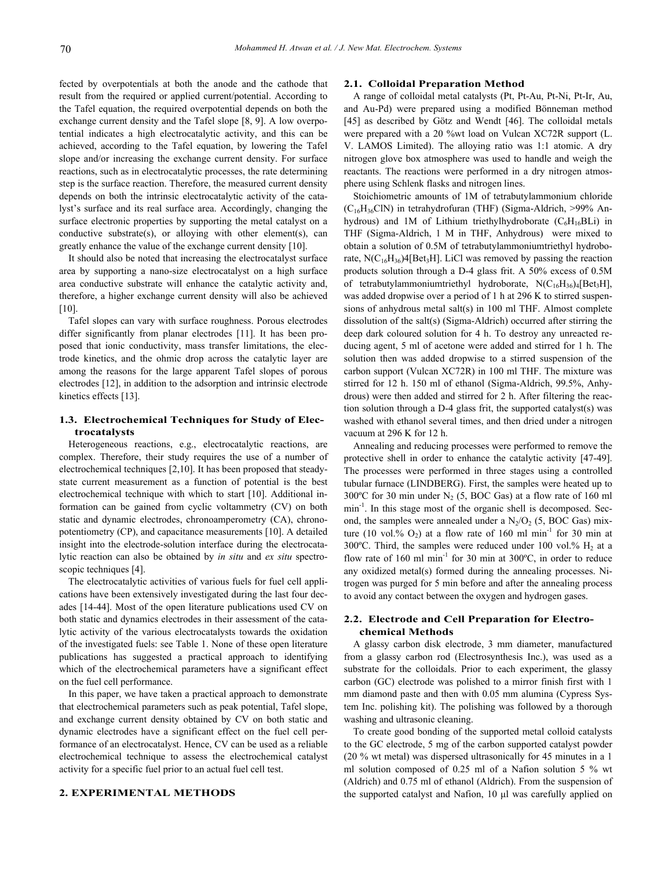fected by overpotentials at both the anode and the cathode that result from the required or applied current/potential. According to the Tafel equation, the required overpotential depends on both the exchange current density and the Tafel slope [8, 9]. A low overpotential indicates a high electrocatalytic activity, and this can be achieved, according to the Tafel equation, by lowering the Tafel slope and/or increasing the exchange current density. For surface reactions, such as in electrocatalytic processes, the rate determining step is the surface reaction. Therefore, the measured current density depends on both the intrinsic electrocatalytic activity of the catalyst's surface and its real surface area. Accordingly, changing the surface electronic properties by supporting the metal catalyst on a conductive substrate(s), or alloying with other element(s), can greatly enhance the value of the exchange current density [10].

It should also be noted that increasing the electrocatalyst surface area by supporting a nano-size electrocatalyst on a high surface area conductive substrate will enhance the catalytic activity and, therefore, a higher exchange current density will also be achieved [10].

Tafel slopes can vary with surface roughness. Porous electrodes differ significantly from planar electrodes [11]. It has been proposed that ionic conductivity, mass transfer limitations, the electrode kinetics, and the ohmic drop across the catalytic layer are among the reasons for the large apparent Tafel slopes of porous electrodes [12], in addition to the adsorption and intrinsic electrode kinetics effects [13].

# **1.3. Electrochemical Techniques for Study of Electrocatalysts**

Heterogeneous reactions, e.g., electrocatalytic reactions, are complex. Therefore, their study requires the use of a number of electrochemical techniques [2,10]. It has been proposed that steadystate current measurement as a function of potential is the best electrochemical technique with which to start [10]. Additional information can be gained from cyclic voltammetry (CV) on both static and dynamic electrodes, chronoamperometry (CA), chronopotentiometry (CP), and capacitance measurements [10]. A detailed insight into the electrode-solution interface during the electrocatalytic reaction can also be obtained by *in situ* and *ex situ* spectroscopic techniques [4].

The electrocatalytic activities of various fuels for fuel cell applications have been extensively investigated during the last four decades [14-44]. Most of the open literature publications used CV on both static and dynamics electrodes in their assessment of the catalytic activity of the various electrocatalysts towards the oxidation of the investigated fuels: see Table 1. None of these open literature publications has suggested a practical approach to identifying which of the electrochemical parameters have a significant effect on the fuel cell performance.

In this paper, we have taken a practical approach to demonstrate that electrochemical parameters such as peak potential, Tafel slope, and exchange current density obtained by CV on both static and dynamic electrodes have a significant effect on the fuel cell performance of an electrocatalyst. Hence, CV can be used as a reliable electrochemical technique to assess the electrochemical catalyst activity for a specific fuel prior to an actual fuel cell test.

## **2. EXPERIMENTAL METHODS**

# **2.1. Colloidal Preparation Method**

A range of colloidal metal catalysts (Pt, Pt-Au, Pt-Ni, Pt-Ir, Au, and Au-Pd) were prepared using a modified Bönneman method [45] as described by Götz and Wendt [46]. The colloidal metals were prepared with a 20 %wt load on Vulcan XC72R support (L. V. LAMOS Limited). The alloying ratio was 1:1 atomic. A dry nitrogen glove box atmosphere was used to handle and weigh the reactants. The reactions were performed in a dry nitrogen atmosphere using Schlenk flasks and nitrogen lines.

Stoichiometric amounts of 1M of tetrabutylammonium chloride  $(C_{16}H_{36}C$ lN) in tetrahydrofuran (THF) (Sigma-Aldrich, >99% Anhydrous) and 1M of Lithium triethylhydroborate  $(C_6H_{16}BLi)$  in THF (Sigma-Aldrich, 1 M in THF, Anhydrous) were mixed to obtain a solution of 0.5M of tetrabutylammoniumtriethyl hydroborate,  $N(C_{16}H_{36})$ 4[Bet<sub>3</sub>H]. LiCl was removed by passing the reaction products solution through a D-4 glass frit. A 50% excess of 0.5M of tetrabutylammoniumtriethyl hydroborate,  $N(C_{16}H_{36})$ <sub>4</sub>[Bet<sub>3</sub>H], was added dropwise over a period of 1 h at 296 K to stirred suspensions of anhydrous metal salt(s) in 100 ml THF. Almost complete dissolution of the salt(s) (Sigma-Aldrich) occurred after stirring the deep dark coloured solution for 4 h. To destroy any unreacted reducing agent, 5 ml of acetone were added and stirred for 1 h. The solution then was added dropwise to a stirred suspension of the carbon support (Vulcan XC72R) in 100 ml THF. The mixture was stirred for 12 h. 150 ml of ethanol (Sigma-Aldrich, 99.5%, Anhydrous) were then added and stirred for 2 h. After filtering the reaction solution through a D-4 glass frit, the supported catalyst(s) was washed with ethanol several times, and then dried under a nitrogen vacuum at 296 K for 12 h.

Annealing and reducing processes were performed to remove the protective shell in order to enhance the catalytic activity [47-49]. The processes were performed in three stages using a controlled tubular furnace (LINDBERG). First, the samples were heated up to  $300^{\circ}$ C for 30 min under N<sub>2</sub> (5, BOC Gas) at a flow rate of 160 ml min<sup>-1</sup>. In this stage most of the organic shell is decomposed. Second, the samples were annealed under a  $N_2/O_2$  (5, BOC Gas) mixture (10 vol.%  $O_2$ ) at a flow rate of 160 ml min<sup>-1</sup> for 30 min at 300°C. Third, the samples were reduced under 100 vol.%  $H_2$  at a flow rate of  $160 \text{ ml min}^{-1}$  for  $30 \text{ min}$  at  $300^{\circ}\text{C}$ , in order to reduce any oxidized metal(s) formed during the annealing processes. Nitrogen was purged for 5 min before and after the annealing process to avoid any contact between the oxygen and hydrogen gases.

# **2.2. Electrode and Cell Preparation for Electrochemical Methods**

A glassy carbon disk electrode, 3 mm diameter, manufactured from a glassy carbon rod (Electrosynthesis Inc.), was used as a substrate for the colloidals. Prior to each experiment, the glassy carbon (GC) electrode was polished to a mirror finish first with 1 mm diamond paste and then with 0.05 mm alumina (Cypress System Inc. polishing kit). The polishing was followed by a thorough washing and ultrasonic cleaning.

To create good bonding of the supported metal colloid catalysts to the GC electrode, 5 mg of the carbon supported catalyst powder (20 % wt metal) was dispersed ultrasonically for 45 minutes in a 1 ml solution composed of 0.25 ml of a Nafion solution 5 % wt (Aldrich) and 0.75 ml of ethanol (Aldrich). From the suspension of the supported catalyst and Nafion, 10 μl was carefully applied on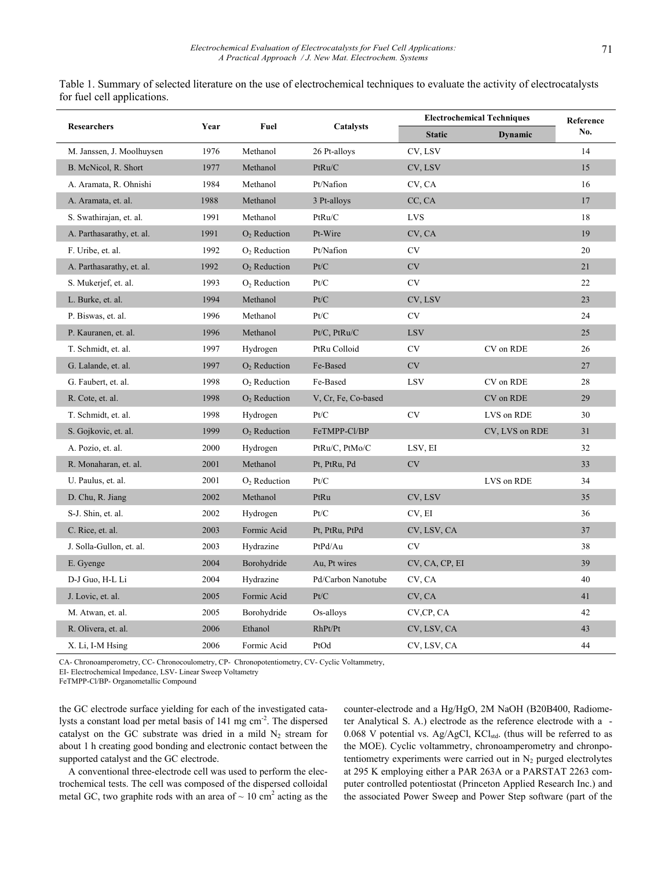|                           |      | Fuel           | Catalysts                                                 | <b>Electrochemical Techniques</b> |                | Reference |
|---------------------------|------|----------------|-----------------------------------------------------------|-----------------------------------|----------------|-----------|
| <b>Researchers</b>        | Year |                |                                                           | <b>Static</b>                     | <b>Dynamic</b> | No.       |
| M. Janssen, J. Moolhuysen | 1976 | Methanol       | 26 Pt-alloys                                              | CV, LSV                           |                | 14        |
| B. McNicol, R. Short      | 1977 | Methanol       | PtRu/C                                                    | CV, LSV                           |                | 15        |
| A. Aramata, R. Ohnishi    | 1984 | Methanol       | Pt/Nafion                                                 | CV, CA                            |                | 16        |
| A. Aramata, et. al.       | 1988 | Methanol       | 3 Pt-alloys                                               | CC, CA                            |                | 17        |
| S. Swathirajan, et. al.   | 1991 | Methanol       | PtRu/C                                                    | <b>LVS</b>                        |                | 18        |
| A. Parthasarathy, et. al. | 1991 | $O2$ Reduction | Pt-Wire                                                   | CV, CA                            |                | 19        |
| F. Uribe, et. al.         | 1992 | $O2$ Reduction | Pt/Nafion                                                 | <b>CV</b>                         |                | 20        |
| A. Parthasarathy, et. al. | 1992 | $O2$ Reduction | Pt/C                                                      | $\mathrm{CV}$                     |                | 21        |
| S. Mukerjef, et. al.      | 1993 | $O2$ Reduction | Pt/C                                                      | <b>CV</b>                         |                | 22        |
| L. Burke, et. al.         | 1994 | Methanol       | Pt/C                                                      | CV, LSV                           |                | 23        |
| P. Biswas, et. al.        | 1996 | Methanol       | Pt/C                                                      | <b>CV</b>                         |                | 24        |
| P. Kauranen, et. al.      | 1996 | Methanol       | Pt/C, PtRu/C                                              | <b>LSV</b>                        |                | 25        |
| T. Schmidt, et. al.       | 1997 | Hydrogen       | PtRu Colloid                                              | <b>CV</b>                         | CV on RDE      | 26        |
| G. Lalande, et. al.       | 1997 | $O2$ Reduction | Fe-Based                                                  | <b>CV</b>                         |                | 27        |
| G. Faubert, et. al.       | 1998 | $O2$ Reduction | Fe-Based                                                  | <b>LSV</b>                        | CV on RDE      | 28        |
| R. Cote, et. al.          | 1998 | $O2$ Reduction | V, Cr, Fe, Co-based                                       |                                   | CV on RDE      | 29        |
| T. Schmidt, et. al.       | 1998 | Hydrogen       | Pt/C                                                      | CV                                | LVS on RDE     | 30        |
| S. Gojkovic, et. al.      | 1999 | $O2$ Reduction | FeTMPP-Cl/BP                                              |                                   | CV, LVS on RDE | 31        |
| A. Pozio, et. al.         | 2000 | Hydrogen       | PtRu/C, PtMo/C                                            | LSV, EI                           |                | 32        |
| R. Monaharan, et. al.     | 2001 | Methanol       | Pt, PtRu, Pd                                              | <b>CV</b>                         |                | 33        |
| U. Paulus, et. al.        | 2001 | $O2$ Reduction | Pt/C                                                      |                                   | LVS on RDE     | 34        |
| D. Chu, R. Jiang          | 2002 | Methanol       | PtRu                                                      | CV, LSV                           |                | 35        |
| S-J. Shin, et. al.        | 2002 | Hydrogen       | Pt/C                                                      | CV, EI                            |                | 36        |
| C. Rice, et. al.          | 2003 | Formic Acid    | Pt, PtRu, PtPd                                            | CV, LSV, CA                       |                | 37        |
| J. Solla-Gullon, et. al.  | 2003 | Hydrazine      | PtPd/Au                                                   | <b>CV</b>                         |                | 38        |
| E. Gyenge                 | 2004 | Borohydride    | Au, Pt wires                                              | CV, CA, CP, EI                    |                | 39        |
| D-J Guo, H-L Li           | 2004 | Hydrazine      | Pd/Carbon Nanotube                                        | CV, CA                            |                | 40        |
| J. Lovic, et. al.         | 2005 | Formic Acid    | $\ensuremath{\mathrm{Pt}}\xspace/\ensuremath{\mathrm{C}}$ | CV, CA                            |                | 41        |
| M. Atwan, et. al.         | 2005 | Borohydride    | Os-alloys                                                 | CV,CP, CA                         |                | 42        |
| R. Olivera, et. al.       | 2006 | Ethanol        | RhPt/Pt                                                   | CV, LSV, CA                       |                | 43        |
| X. Li, I-M Hsing          | 2006 | Formic Acid    | PtOd                                                      | CV, LSV, CA                       |                | 44        |

Table 1. Summary of selected literature on the use of electrochemical techniques to evaluate the activity of electrocatalysts for fuel cell applications.

CA- Chronoamperometry, CC- Chronocoulometry, CP- Chronopotentiometry, CV- Cyclic Voltammetry,

EI- Electrochemical Impedance, LSV- Linear Sweep Voltametry

FeTMPP-Cl/BP- Organometallic Compound

the GC electrode surface yielding for each of the investigated catalysts a constant load per metal basis of 141 mg cm<sup>-2</sup>. The dispersed catalyst on the GC substrate was dried in a mild  $N_2$  stream for about 1 h creating good bonding and electronic contact between the supported catalyst and the GC electrode.

A conventional three-electrode cell was used to perform the electrochemical tests. The cell was composed of the dispersed colloidal metal GC, two graphite rods with an area of  $\sim 10 \text{ cm}^2$  acting as the counter-electrode and a Hg/HgO, 2M NaOH (B20B400, Radiometer Analytical S. A.) electrode as the reference electrode with a - 0.068 V potential vs. Ag/AgCl,  $KCl<sub>std</sub>$ . (thus will be referred to as the MOE). Cyclic voltammetry, chronoamperometry and chronpotentiometry experiments were carried out in  $N_2$  purged electrolytes at 295 K employing either a PAR 263A or a PARSTAT 2263 computer controlled potentiostat (Princeton Applied Research Inc.) and the associated Power Sweep and Power Step software (part of the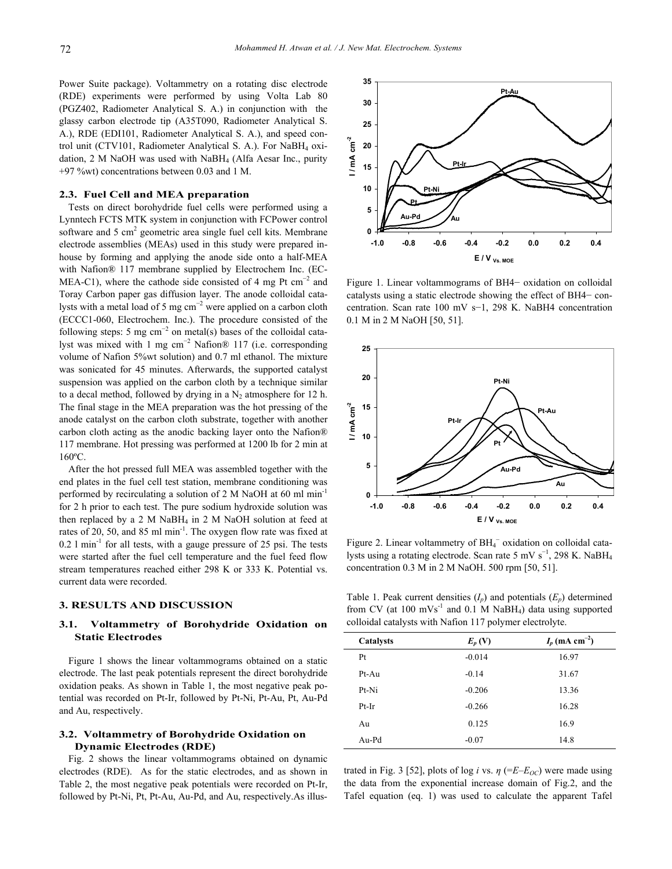Power Suite package). Voltammetry on a rotating disc electrode (RDE) experiments were performed by using Volta Lab 80 (PGZ402, Radiometer Analytical S. A.) in conjunction with the glassy carbon electrode tip (A35T090, Radiometer Analytical S. A.), RDE (EDI101, Radiometer Analytical S. A.), and speed control unit (CTV101, Radiometer Analytical S. A.). For NaBH4 oxidation, 2 M NaOH was used with  $N$ aBH<sub>4</sub> (Alfa Aesar Inc., purity +97 %wt) concentrations between 0.03 and 1 M.

# **2.3. Fuel Cell and MEA preparation**

Tests on direct borohydride fuel cells were performed using a Lynntech FCTS MTK system in conjunction with FCPower control software and  $5 \text{ cm}^2$  geometric area single fuel cell kits. Membrane electrode assemblies (MEAs) used in this study were prepared inhouse by forming and applying the anode side onto a half-MEA with Nafion® 117 membrane supplied by Electrochem Inc. (EC-MEA-C1), where the cathode side consisted of 4 mg Pt  $cm^{-2}$  and Toray Carbon paper gas diffusion layer. The anode colloidal catalysts with a metal load of 5 mg  $cm^{-2}$  were applied on a carbon cloth (ECCC1-060, Electrochem. Inc.). The procedure consisted of the following steps: 5 mg  $cm^{-2}$  on metal(s) bases of the colloidal catalyst was mixed with 1 mg cm<sup>-2</sup> Nafion® 117 (i.e. corresponding volume of Nafion 5%wt solution) and 0.7 ml ethanol. The mixture was sonicated for 45 minutes. Afterwards, the supported catalyst suspension was applied on the carbon cloth by a technique similar to a decal method, followed by drying in a  $N_2$  atmosphere for 12 h. The final stage in the MEA preparation was the hot pressing of the anode catalyst on the carbon cloth substrate, together with another carbon cloth acting as the anodic backing layer onto the Nafion® 117 membrane. Hot pressing was performed at 1200 lb for 2 min at 160ºC.

After the hot pressed full MEA was assembled together with the end plates in the fuel cell test station, membrane conditioning was performed by recirculating a solution of 2 M NaOH at 60 ml min-1 for 2 h prior to each test. The pure sodium hydroxide solution was then replaced by a 2 M NaBH<sub>4</sub> in 2 M NaOH solution at feed at rates of 20, 50, and 85 ml min-1. The oxygen flow rate was fixed at  $0.2$  l min<sup>-1</sup> for all tests, with a gauge pressure of 25 psi. The tests were started after the fuel cell temperature and the fuel feed flow stream temperatures reached either 298 K or 333 K. Potential vs. current data were recorded.

## **3. RESULTS AND DISCUSSION**

# **3.1. Voltammetry of Borohydride Oxidation on Static Electrodes**

Figure 1 shows the linear voltammograms obtained on a static electrode. The last peak potentials represent the direct borohydride oxidation peaks. As shown in Table 1, the most negative peak potential was recorded on Pt-Ir, followed by Pt-Ni, Pt-Au, Pt, Au-Pd and Au, respectively.

# **3.2. Voltammetry of Borohydride Oxidation on Dynamic Electrodes (RDE)**

Fig. 2 shows the linear voltammograms obtained on dynamic electrodes (RDE). As for the static electrodes, and as shown in Table 2, the most negative peak potentials were recorded on Pt-Ir, followed by Pt-Ni, Pt, Pt-Au, Au-Pd, and Au, respectively.As illus-



Figure 1. Linear voltammograms of BH4− oxidation on colloidal catalysts using a static electrode showing the effect of BH4− concentration. Scan rate 100 mV s−1, 298 K. NaBH4 concentration 0.1 M in 2 M NaOH [50, 51].



Figure 2. Linear voltammetry of BH<sub>4</sub><sup>-</sup> oxidation on colloidal catalysts using a rotating electrode. Scan rate 5 mV  $s^{-1}$ , 298 K. NaBH<sub>4</sub> concentration 0.3 M in 2 M NaOH. 500 rpm [50, 51].

Table 1. Peak current densities  $(I_p)$  and potentials  $(E_p)$  determined from CV (at  $100 \text{ mVs}^{-1}$  and  $0.1 \text{ M NaBH}_4$ ) data using supported colloidal catalysts with Nafion 117 polymer electrolyte.

| Catalysts | $E_p$ (V) | $I_p$ (mA cm <sup>-2</sup> ) |
|-----------|-----------|------------------------------|
| Pt        | $-0.014$  | 16.97                        |
| Pt-Au     | $-0.14$   | 31.67                        |
| Pt-Ni     | $-0.206$  | 13.36                        |
| Pt-Ir     | $-0.266$  | 16.28                        |
| Au        | 0.125     | 16.9                         |
| Au-Pd     | $-0.07$   | 14.8                         |

trated in Fig. 3 [52], plots of log *i* vs.  $\eta$  (= $E$ – $E_{OC}$ ) were made using the data from the exponential increase domain of Fig.2, and the Tafel equation (eq. 1) was used to calculate the apparent Tafel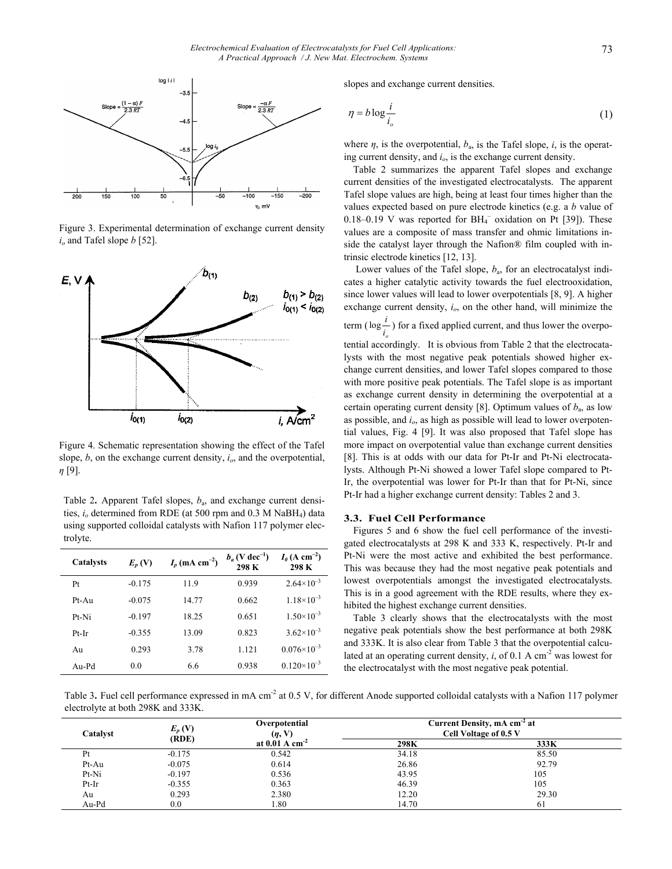

Figure 3. Experimental determination of exchange current density  $i<sub>o</sub>$  and Tafel slope  $b$  [52].



Figure 4. Schematic representation showing the effect of the Tafel slope,  $b$ , on the exchange current density,  $i<sub>o</sub>$ , and the overpotential, *η* [9].

Table 2**.** Apparent Tafel slopes, *b*a, and exchange current densities, *io* determined from RDE (at 500 rpm and 0.3 M NaBH4) data using supported colloidal catalysts with Nafion 117 polymer electrolyte.

| <b>Catalysts</b> | $E_p$ (V) | $I_p$ (mA cm <sup>-2</sup> ) | $b_a$ (V dec <sup>-1</sup> )<br>298 K | $I_{\theta}$ (A cm <sup>-2</sup> )<br>298 K |
|------------------|-----------|------------------------------|---------------------------------------|---------------------------------------------|
| Pt               | $-0.175$  | 119                          | 0.939                                 | $2.64\times10^{-3}$                         |
| $Pt-Au$          | $-0.075$  | 14.77                        | 0.662                                 | $1.18\times10^{-3}$                         |
| Pt-Ni            | $-0.197$  | 18.25                        | 0.651                                 | $1.50\times10^{-3}$                         |
| Pt-Ir            | $-0.355$  | 13.09                        | 0.823                                 | $3.62\times10^{-3}$                         |
| Au               | 0.293     | 3.78                         | 1.121                                 | $0.076 \times 10^{-3}$                      |
| Au-Pd            | 0.0       | 6.6                          | 0.938                                 | $0.120\times10^{-3}$                        |

slopes and exchange current densities.

$$
\eta = b \log \frac{i}{i_o} \tag{1}
$$

where  $\eta$ , is the overpotential,  $b_a$ , is the Tafel slope, *i*, is the operating current density, and *io*, is the exchange current density.

Table 2 summarizes the apparent Tafel slopes and exchange current densities of the investigated electrocatalysts. The apparent Tafel slope values are high, being at least four times higher than the values expected based on pure electrode kinetics (e.g. a *b* value of 0.18-0.19 V was reported for  $BH_4^-$  oxidation on Pt [39]). These values are a composite of mass transfer and ohmic limitations inside the catalyst layer through the Nafion® film coupled with intrinsic electrode kinetics [12, 13].

 Lower values of the Tafel slope, *b*a, for an electrocatalyst indicates a higher catalytic activity towards the fuel electrooxidation, since lower values will lead to lower overpotentials [8, 9]. A higher exchange current density, *io*, on the other hand, will minimize the term  $(\log_{i_o}^{\epsilon})$  for a fixed applied current, and thus lower the overpo $log^{-1}$ 

tential accordingly. It is obvious from Table 2 that the electrocatalysts with the most negative peak potentials showed higher exchange current densities, and lower Tafel slopes compared to those with more positive peak potentials. The Tafel slope is as important as exchange current density in determining the overpotential at a certain operating current density [8]. Optimum values of  $b_a$ , as low as possible, and *io*, as high as possible will lead to lower overpotential values, Fig. 4 [9]. It was also proposed that Tafel slope has more impact on overpotential value than exchange current densities [8]. This is at odds with our data for Pt-Ir and Pt-Ni electrocatalysts. Although Pt-Ni showed a lower Tafel slope compared to Pt-Ir, the overpotential was lower for Pt-Ir than that for Pt-Ni, since Pt-Ir had a higher exchange current density: Tables 2 and 3.

## **3.3. Fuel Cell Performance**

Figures 5 and 6 show the fuel cell performance of the investigated electrocatalysts at 298 K and 333 K, respectively. Pt-Ir and Pt-Ni were the most active and exhibited the best performance. This was because they had the most negative peak potentials and lowest overpotentials amongst the investigated electrocatalysts. This is in a good agreement with the RDE results, where they exhibited the highest exchange current densities.

Table 3 clearly shows that the electrocatalysts with the most negative peak potentials show the best performance at both 298K and 333K. It is also clear from Table 3 that the overpotential calculated at an operating current density,  $i$ , of 0.1 A cm<sup>-2</sup> was lowest for the electrocatalyst with the most negative peak potential.

Table 3. Fuel cell performance expressed in mA cm<sup>-2</sup> at 0.5 V, for different Anode supported colloidal catalysts with a Nafion 117 polymer electrolyte at both 298K and 333K.

| Catalvst | $E_p$ (V)<br>(RDE) | Overpotential<br>$(\eta, V)$ | Current Density, mA cm <sup>-2</sup> at<br>Cell Voltage of 0.5 V |       |
|----------|--------------------|------------------------------|------------------------------------------------------------------|-------|
|          |                    | at $0.01 \text{ A cm}^{-2}$  | 298K                                                             | 333K  |
| Pt       | $-0.175$           | 0.542                        | 34.18                                                            | 85.50 |
| Pt-Au    | $-0.075$           | 0.614                        | 26.86                                                            | 92.79 |
| Pt-Ni    | $-0.197$           | 0.536                        | 43.95                                                            | 105   |
| $Pt-Ir$  | $-0.355$           | 0.363                        | 46.39                                                            | 105   |
| Au       | 0.293              | 2.380                        | 12.20                                                            | 29.30 |
| Au-Pd    | 0.0                | . 80                         | 14.70                                                            | -61   |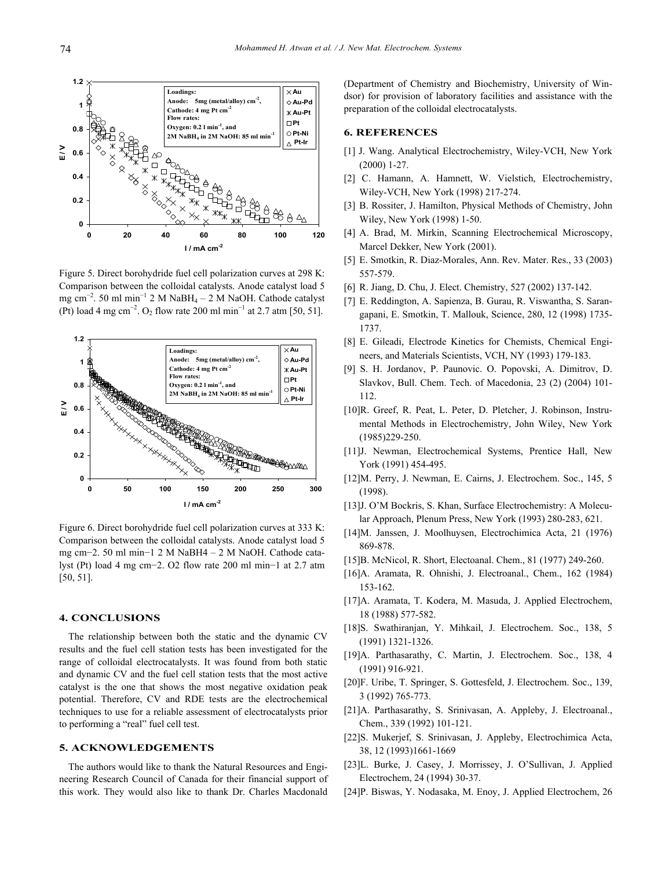

Figure 5. Direct borohydride fuel cell polarization curves at 298 K: Comparison between the colloidal catalysts. Anode catalyst load 5 mg cm<sup>−</sup><sup>2</sup> . 50 ml min<sup>−</sup><sup>1</sup> 2 M NaBH4 – 2 M NaOH. Cathode catalyst (Pt) load 4 mg cm<sup>-2</sup>. O<sub>2</sub> flow rate 200 ml min<sup>-1</sup> at 2.7 atm [50, 51].



Figure 6. Direct borohydride fuel cell polarization curves at 333 K: Comparison between the colloidal catalysts. Anode catalyst load 5 mg cm−2. 50 ml min−1 2 M NaBH4 – 2 M NaOH. Cathode catalyst (Pt) load 4 mg cm−2. O2 flow rate 200 ml min−1 at 2.7 atm [50, 51].

# **4. CONCLUSIONS**

The relationship between both the static and the dynamic CV results and the fuel cell station tests has been investigated for the range of colloidal electrocatalysts. It was found from both static and dynamic CV and the fuel cell station tests that the most active catalyst is the one that shows the most negative oxidation peak potential. Therefore, CV and RDE tests are the electrochemical techniques to use for a reliable assessment of electrocatalysts prior to performing a "real" fuel cell test.

# **5. ACKNOWLEDGEMENTS**

The authors would like to thank the Natural Resources and Engineering Research Council of Canada for their financial support of this work. They would also like to thank Dr. Charles Macdonald (Department of Chemistry and Biochemistry, University of Windsor) for provision of laboratory facilities and assistance with the preparation of the colloidal electrocatalysts.

# **6. REFERENCES**

- [1] J. Wang. Analytical Electrochemistry, Wiley-VCH, New York (2000) 1-27.
- [2] C. Hamann, A. Hamnett, W. Vielstich, Electrochemistry, Wiley-VCH, New York (1998) 217-274.
- [3] B. Rossiter, J. Hamilton, Physical Methods of Chemistry, John Wiley, New York (1998) 1-50.
- [4] A. Brad, M. Mirkin, Scanning Electrochemical Microscopy, Marcel Dekker, New York (2001).
- [5] E. Smotkin, R. Diaz-Morales, Ann. Rev. Mater. Res., 33 (2003) 557-579.
- [6] R. Jiang, D. Chu, J. Elect. Chemistry, 527 (2002) 137-142.
- [7] E. Reddington, A. Sapienza, B. Gurau, R. Viswantha, S. Sarangapani, E. Smotkin, T. Mallouk, Science, 280, 12 (1998) 1735- 1737.
- [8] E. Gileadi, Electrode Kinetics for Chemists, Chemical Engineers, and Materials Scientists, VCH, NY (1993) 179-183.
- [9] S. H. Jordanov, P. Paunovic. O. Popovski, A. Dimitrov, D. Slavkov, Bull. Chem. Tech. of Macedonia, 23 (2) (2004) 101- 112.
- [10]R. Greef, R. Peat, L. Peter, D. Pletcher, J. Robinson, Instrumental Methods in Electrochemistry, John Wiley, New York (1985)229-250.
- [11]J. Newman, Electrochemical Systems, Prentice Hall, New York (1991) 454-495.
- [12]M. Perry, J. Newman, E. Cairns, J. Electrochem. Soc., 145, 5 (1998).
- [13]J. O'M Bockris, S. Khan, Surface Electrochemistry: A Molecular Approach, Plenum Press, New York (1993) 280-283, 621.
- [14]M. Janssen, J. Moolhuysen, Electrochimica Acta, 21 (1976) 869-878.
- [15]B. McNicol, R. Short, Electoanal. Chem., 81 (1977) 249-260.
- [16]A. Aramata, R. Ohnishi, J. Electroanal., Chem., 162 (1984) 153-162.
- [17]A. Aramata, T. Kodera, M. Masuda, J. Applied Electrochem, 18 (1988) 577-582.
- [18]S. Swathiranjan, Y. Mihkail, J. Electrochem. Soc., 138, 5 (1991) 1321-1326.
- [19]A. Parthasarathy, C. Martin, J. Electrochem. Soc., 138, 4 (1991) 916-921.
- [20]F. Uribe, T. Springer, S. Gottesfeld, J. Electrochem. Soc., 139, 3 (1992) 765-773.
- [21]A. Parthasarathy, S. Srinivasan, A. Appleby, J. Electroanal., Chem., 339 (1992) 101-121.
- [22]S. Mukerjef, S. Srinivasan, J. Appleby, Electrochimica Acta, 38, 12 (1993)1661-1669
- [23]L. Burke, J. Casey, J. Morrissey, J. O'Sullivan, J. Applied Electrochem, 24 (1994) 30-37.
- [24]P. Biswas, Y. Nodasaka, M. Enoy, J. Applied Electrochem, 26